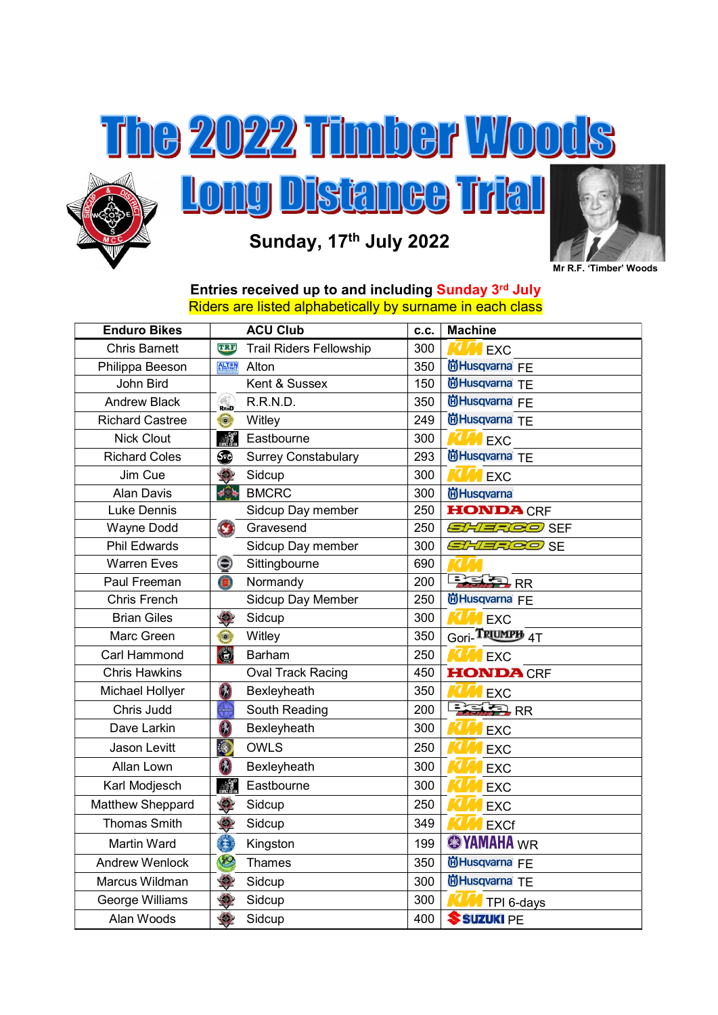



## Sunday, 17th July 2022



## Entries received up to and including Sunday 3<sup>rd</sup> July Riders are listed alphabetically by surname in each class

| <b>Enduro Bikes</b>    | <b>ACU Club</b>                                      | C.C. | <b>Machine</b>                          |
|------------------------|------------------------------------------------------|------|-----------------------------------------|
| <b>Chris Barnett</b>   | TRE<br><b>Trail Riders Fellowship</b>                | 300  | <b>A</b> EXC                            |
| Philippa Beeson        | <b>ALT<sup>*</sup>N</b><br><b>ADISTRICT</b><br>Alton | 350  | 尚Husqvarna FE                           |
| John Bird              | Kent & Sussex                                        | 150  | 尚Husqvarna TE                           |
| <b>Andrew Black</b>    | RRND<br>R.R.N.D.                                     | 350  | 尚Husqvarna FE                           |
| <b>Richard Castree</b> | $\odot$<br>Witley                                    | 249  | <b>尚Husqvarna</b> TE                    |
| <b>Nick Clout</b>      | Eastbourne<br>$\mathbb{R}$                           | 300  | <b>KLM</b> EXC                          |
| <b>Richard Coles</b>   | ⊕<br><b>Surrey Constabulary</b>                      | 293  | 尚Husqvarna TE                           |
| Jim Cue                | $\bullet$<br>Sidcup                                  | 300  | <b>MEXC</b>                             |
| <b>Alan Davis</b>      | <b><del></del> ∌</b> BMCRC                           | 300  | <b>尚Husqvarna</b>                       |
| Luke Dennis            | Sidcup Day member                                    | 250  | <b>HONDA CRF</b>                        |
| Wayne Dodd             | $\mathbf{\Omega}$<br>Gravesend                       | 250  | <i>SHERGO</i> SEF                       |
| <b>Phil Edwards</b>    | Sidcup Day member                                    | 300  | SHERGO SE                               |
| <b>Warren Eves</b>     | ۱<br>Sittingbourne                                   | 690  |                                         |
| Paul Freeman           | $\bullet$<br>Normandy                                | 200  | <b>BELED</b> RR                         |
| <b>Chris French</b>    | Sidcup Day Member                                    | 250  | <b>尚Husqvarna</b> FE                    |
| <b>Brian Giles</b>     | $\ddot{\bullet}$<br>Sidcup                           | 300  | <b>CAM</b> EXC                          |
| Marc Green             | $\ddot{\circ}$<br>Witley                             | 350  | Gori-TRIUMPH 4T                         |
| Carl Hammond           | 0<br><b>Barham</b>                                   | 250  | <b>MEXC</b>                             |
| <b>Chris Hawkins</b>   | <b>Oval Track Racing</b>                             | 450  | <b>HONDA CRF</b>                        |
| Michael Hollyer        | 角<br>Bexleyheath                                     | 350  | <b>EXC</b>                              |
| Chris Judd             | South Reading                                        | 200  | $\frac{1}{\sqrt{2}}$ RR                 |
| Dave Larkin            | 6<br>Bexleyheath                                     | 300  | <b>EXC</b>                              |
| Jason Levitt           | <b>OWLS</b>                                          | 250  | EXC                                     |
| Allan Lown             | 钠<br>Bexleyheath                                     | 300  | <b>EXC</b>                              |
| Karl Modjesch          | $\mathbb{R}$<br>Eastbourne                           | 300  | <b>EXC</b>                              |
| Matthew Sheppard       | $\bullet$<br>Sidcup                                  | 250  | <b>EXC</b>                              |
| <b>Thomas Smith</b>    | $\ddot{Q}$<br>Sidcup                                 | 349  | <b>EXCf</b>                             |
| <b>Martin Ward</b>     | G<br>Kingston                                        | 199  | <b><sup><sup>3</sup>YAMAHA</sup></b> WR |
| <b>Andrew Wenlock</b>  | 8<br>Thames                                          | 350  | 尚Husqvarna FE                           |
| Marcus Wildman         | $\ddot{v}$<br>Sidcup                                 | 300  | 尚Husqvarna TE                           |
| George Williams        | $\bullet$<br>Sidcup                                  | 300  | TPI 6-days                              |
| Alan Woods             | $\bullet$<br>Sidcup                                  | 400  | SUZUKI PE                               |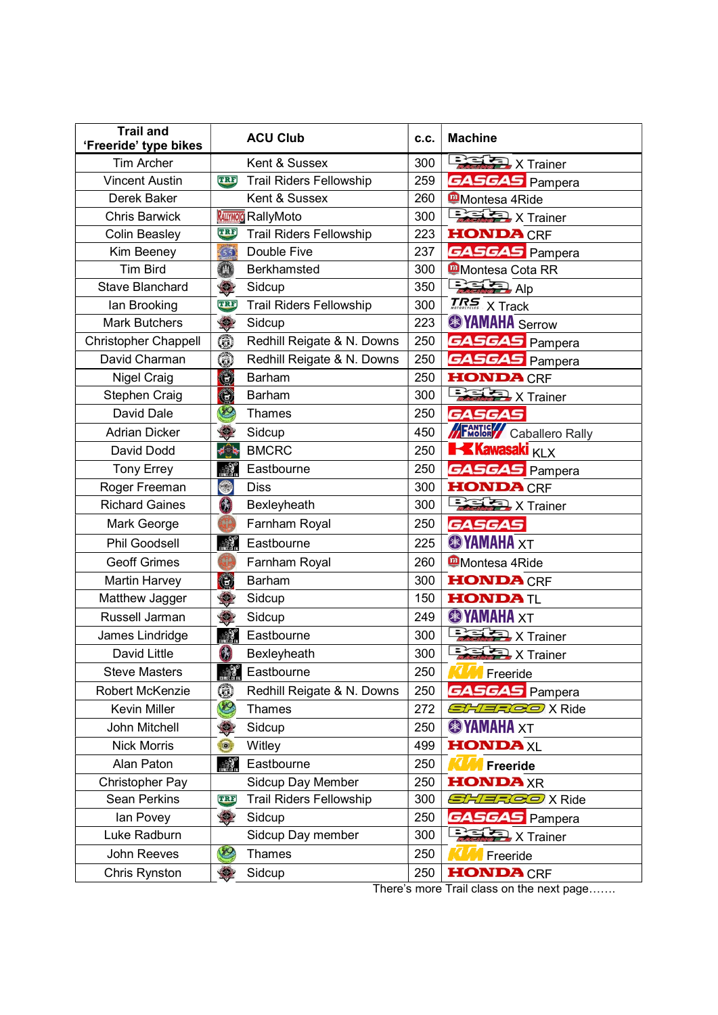| <b>Trail and</b><br>'Freeride' type bikes | <b>ACU Club</b>                              |     | <b>Machine</b>                              |  |
|-------------------------------------------|----------------------------------------------|-----|---------------------------------------------|--|
| <b>Tim Archer</b>                         | Kent & Sussex                                | 300 | $\frac{1}{2}$ X Trainer                     |  |
| <b>Vincent Austin</b>                     | <b>Trail Riders Fellowship</b><br><b>TRE</b> | 259 | <b>GASGAS</b> Pampera                       |  |
| Derek Baker                               | Kent & Sussex                                | 260 | Montesa 4Ride                               |  |
| <b>Chris Barwick</b>                      | <b>RALIYMOJO</b> RallyMoto                   | 300 | $\frac{1}{2}$ X Trainer                     |  |
| <b>Colin Beasley</b>                      | TRE<br><b>Trail Riders Fellowship</b>        | 223 | <b>HONDA CRF</b>                            |  |
| Kim Beeney                                | (55)<br>Double Five                          | 237 | <b>GASGAS</b> Pampera                       |  |
| <b>Tim Bird</b>                           | $\textcolor{red}{\bullet}$<br>Berkhamsted    | 300 | <b>Montesa Cota RR</b>                      |  |
| <b>Stave Blanchard</b>                    | $\ddot{\mathbf{S}}$<br>Sidcup                | 350 | $\frac{1}{2}$ Alp                           |  |
| lan Brooking                              | <b>Trail Riders Fellowship</b><br>TRE        | 300 | $\overline{LRS}$ X Track                    |  |
| <b>Mark Butchers</b>                      | $\ddot{\mathcal{L}}$<br>Sidcup               | 223 | <b><sup><sup>8</sup>YAMAHA</sup></b> Serrow |  |
| <b>Christopher Chappell</b>               | $\circledcirc$<br>Redhill Reigate & N. Downs | 250 | <b>GASGAS</b> Pampera                       |  |
| David Charman                             | $\circledcirc$<br>Redhill Reigate & N. Downs | 250 | <b>GASGAS</b> Pampera                       |  |
| <b>Nigel Craig</b>                        | $\circledcirc$<br><b>Barham</b>              | 250 | <b>HONDA CRF</b>                            |  |
| Stephen Craig                             | 0<br><b>Barham</b>                           | 300 | $\frac{1}{2}$ X Trainer                     |  |
| David Dale                                | 12<br>Thames                                 | 250 | <b>GASGAS</b>                               |  |
| <b>Adrian Dicker</b>                      | $\bullet$<br>Sidcup                          | 450 | <b>FANTIC</b> Caballero Rally               |  |
| David Dodd                                | <b>BMCRC</b><br>≉িঁ*                         | 250 | <b>Kawasaki KLX</b>                         |  |
| <b>Tony Errey</b>                         | $\mathbb{R}$<br>Eastbourne                   | 250 | <b>GASGAS</b> Pampera                       |  |
| Roger Freeman                             | ۵<br><b>Diss</b>                             | 300 | <b>HONDA CRF</b>                            |  |
| <b>Richard Gaines</b>                     | $\Omega$<br>Bexleyheath                      | 300 | $\frac{1}{2}$ X Trainer                     |  |
| Mark George                               | Farnham Royal                                | 250 | <b>GASGAS</b>                               |  |
| <b>Phil Goodsell</b>                      | Eastbourne                                   | 225 | <b><sup><sup>3</sup>YAMAHA</sup></b> XT     |  |
| <b>Geoff Grimes</b>                       | Farnham Royal                                | 260 | <b>Montesa 4Ride</b>                        |  |
| <b>Martin Harvey</b>                      | 0<br><b>Barham</b>                           | 300 | <b>HONDA CRF</b>                            |  |
| Matthew Jagger                            | Q<br>Sidcup                                  | 150 | $HONDA$                                     |  |
| Russell Jarman                            | $\mathbf{Q}$<br>Sidcup                       | 249 | <b><sup><sup>3</sup></sup></b> YAMAHA XT    |  |
| James Lindridge                           | Eastbourne                                   | 300 | $\frac{1}{2}$ X Trainer                     |  |
| <b>David Little</b>                       | a<br>Bexleyheath                             | 300 | $\frac{1}{2}$ X Trainer                     |  |
| <b>Steve Masters</b>                      | Eastbourne                                   | 250 | <b>W</b> Freeride                           |  |
| Robert McKenzie                           | 6<br>Redhill Reigate & N. Downs              | 250 | <b>GASGAS</b> Pampera                       |  |
| Kevin Miller                              | 12<br>Thames                                 | 272 | <i>SHERGO</i> X Ride                        |  |
| John Mitchell                             | Sidcup                                       | 250 | <b><sup><sup>3</sup></sup></b> YAMAHA XT    |  |
| <b>Nick Morris</b>                        | Witley<br>$\circledcirc$                     | 499 | <b>HONDA</b> XL                             |  |
| Alan Paton                                | Eastbourne                                   | 250 | Freeride                                    |  |
| Christopher Pay                           | Sidcup Day Member                            | 250 | <b>HONDA</b> XR                             |  |
| <b>Sean Perkins</b>                       | <b>Trail Riders Fellowship</b><br>TRF        | 300 | <i>SHERGO</i> X Ride                        |  |
| lan Povey                                 | $\bullet$<br>Sidcup                          | 250 | <b>GASGAS</b> Pampera                       |  |
| Luke Radburn                              | Sidcup Day member                            | 300 | $\frac{1}{\sqrt{2}}$ X Trainer              |  |
| John Reeves                               | Thames                                       | 250 | Freeride                                    |  |
| Chris Rynston                             | Sidcup                                       | 250 | <b>HONDA CRF</b>                            |  |

There's more Trail class on the next page.......